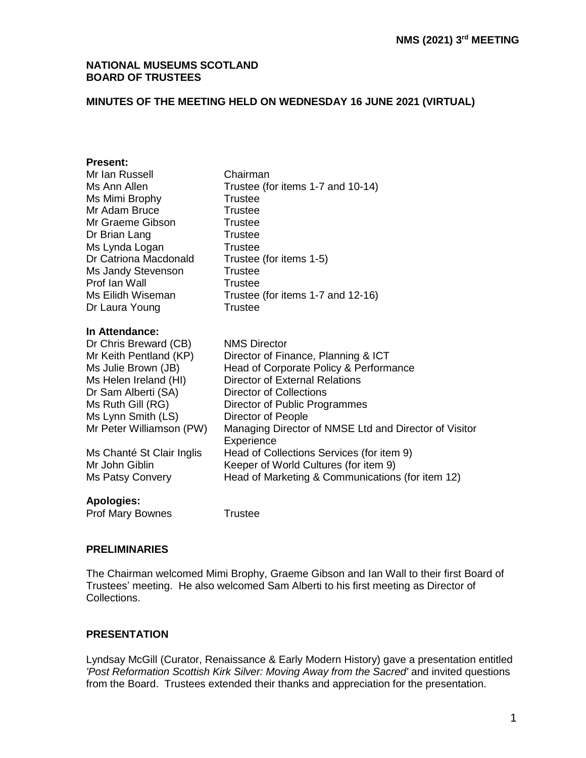#### **NATIONAL MUSEUMS SCOTLAND BOARD OF TRUSTEES**

## **MINUTES OF THE MEETING HELD ON WEDNESDAY 16 JUNE 2021 (VIRTUAL)**

#### **Present:**

| Mr Ian Russell            | Chairman                                                            |
|---------------------------|---------------------------------------------------------------------|
| Ms Ann Allen              | Trustee (for items 1-7 and 10-14)                                   |
| Ms Mimi Brophy            | Trustee                                                             |
| Mr Adam Bruce             | Trustee                                                             |
| Mr Graeme Gibson          | Trustee                                                             |
| Dr Brian Lang             | <b>Trustee</b>                                                      |
| Ms Lynda Logan            | <b>Trustee</b>                                                      |
| Dr Catriona Macdonald     | Trustee (for items 1-5)                                             |
| Ms Jandy Stevenson        | <b>Trustee</b>                                                      |
| Prof Ian Wall             | Trustee                                                             |
| Ms Eilidh Wiseman         | Trustee (for items 1-7 and 12-16)                                   |
| Dr Laura Young            | Trustee                                                             |
| In Attendance:            |                                                                     |
| Dr Chris Breward (CB)     | <b>NMS Director</b>                                                 |
| Mr Keith Pentland (KP)    | Director of Finance, Planning & ICT                                 |
| Ms Julie Brown (JB)       | Head of Corporate Policy & Performance                              |
| Ms Helen Ireland (HI)     | <b>Director of External Relations</b>                               |
| Dr Sam Alberti (SA)       | <b>Director of Collections</b>                                      |
| Ms Ruth Gill (RG)         | Director of Public Programmes                                       |
| Ms Lynn Smith (LS)        | Director of People                                                  |
| Mr Peter Williamson (PW)  | Managing Director of NMSE Ltd and Director of Visitor<br>Experience |
| Ms Chanté St Clair Inglis | Head of Collections Services (for item 9)                           |
| Mr John Giblin            | Keeper of World Cultures (for item 9)                               |
| Ms Patsy Convery          | Head of Marketing & Communications (for item 12)                    |
| <b>Apologies:</b>         |                                                                     |

Prof Mary Bownes Trustee

#### **PRELIMINARIES**

The Chairman welcomed Mimi Brophy, Graeme Gibson and Ian Wall to their first Board of Trustees' meeting. He also welcomed Sam Alberti to his first meeting as Director of Collections.

### **PRESENTATION**

Lyndsay McGill (Curator, Renaissance & Early Modern History) gave a presentation entitled *'Post Reformation Scottish Kirk Silver: Moving Away from the Sacred'* and invited questions from the Board. Trustees extended their thanks and appreciation for the presentation.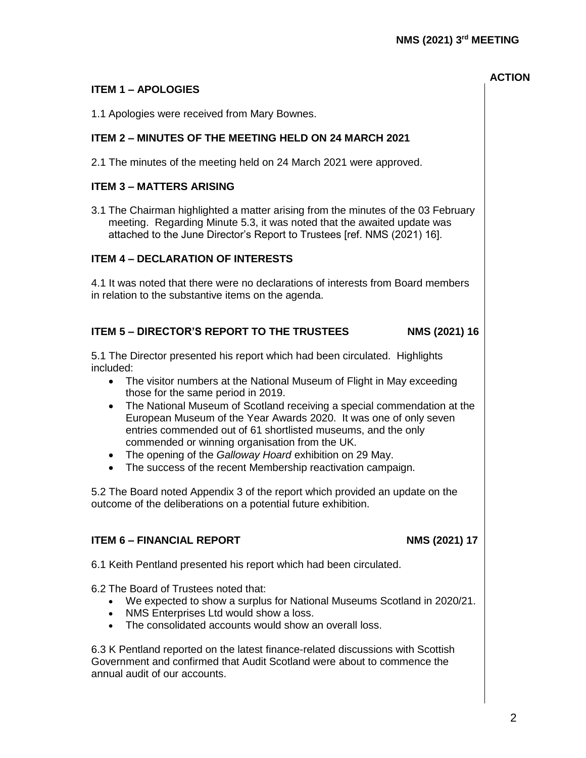# **ITEM 1 – APOLOGIES**

1.1 Apologies were received from Mary Bownes.

# **ITEM 2 – MINUTES OF THE MEETING HELD ON 24 MARCH 2021**

2.1 The minutes of the meeting held on 24 March 2021 were approved.

# **ITEM 3 – MATTERS ARISING**

3.1 The Chairman highlighted a matter arising from the minutes of the 03 February meeting. Regarding Minute 5.3, it was noted that the awaited update was attached to the June Director's Report to Trustees [ref. NMS (2021) 16].

## **ITEM 4 – DECLARATION OF INTERESTS**

4.1 It was noted that there were no declarations of interests from Board members in relation to the substantive items on the agenda.

## **ITEM 5 – DIRECTOR'S REPORT TO THE TRUSTEES NMS (2021) 16**

5.1 The Director presented his report which had been circulated. Highlights included:

- The visitor numbers at the National Museum of Flight in May exceeding those for the same period in 2019.
- The National Museum of Scotland receiving a special commendation at the European Museum of the Year Awards 2020. It was one of only seven entries commended out of 61 shortlisted museums, and the only commended or winning organisation from the UK.
- The opening of the *Galloway Hoard* exhibition on 29 May.
- The success of the recent Membership reactivation campaign.

5.2 The Board noted Appendix 3 of the report which provided an update on the outcome of the deliberations on a potential future exhibition.

# **ITEM 6 – FINANCIAL REPORT NMS** (2021) 17

6.1 Keith Pentland presented his report which had been circulated.

6.2 The Board of Trustees noted that:

- We expected to show a surplus for National Museums Scotland in 2020/21.
- NMS Enterprises Ltd would show a loss.
- The consolidated accounts would show an overall loss.

6.3 K Pentland reported on the latest finance-related discussions with Scottish Government and confirmed that Audit Scotland were about to commence the annual audit of our accounts.

**ACTION**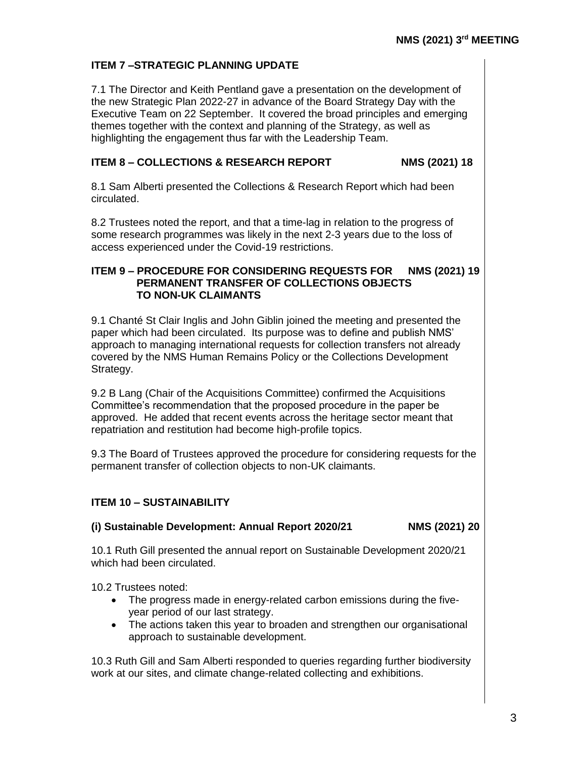## **ITEM 7 –STRATEGIC PLANNING UPDATE**

7.1 The Director and Keith Pentland gave a presentation on the development of the new Strategic Plan 2022-27 in advance of the Board Strategy Day with the Executive Team on 22 September. It covered the broad principles and emerging themes together with the context and planning of the Strategy, as well as highlighting the engagement thus far with the Leadership Team.

#### **ITEM 8 – COLLECTIONS & RESEARCH REPORT NMS (2021) 18**

8.1 Sam Alberti presented the Collections & Research Report which had been circulated.

8.2 Trustees noted the report, and that a time-lag in relation to the progress of some research programmes was likely in the next 2-3 years due to the loss of access experienced under the Covid-19 restrictions.

#### **ITEM 9 – PROCEDURE FOR CONSIDERING REQUESTS FOR NMS (2021) 19 PERMANENT TRANSFER OF COLLECTIONS OBJECTS TO NON-UK CLAIMANTS**

9.1 Chanté St Clair Inglis and John Giblin joined the meeting and presented the paper which had been circulated. Its purpose was to define and publish NMS' approach to managing international requests for collection transfers not already covered by the NMS Human Remains Policy or the Collections Development Strategy.

9.2 B Lang (Chair of the Acquisitions Committee) confirmed the Acquisitions Committee's recommendation that the proposed procedure in the paper be approved. He added that recent events across the heritage sector meant that repatriation and restitution had become high-profile topics.

9.3 The Board of Trustees approved the procedure for considering requests for the permanent transfer of collection objects to non-UK claimants.

# **ITEM 10 – SUSTAINABILITY**

### **(i) Sustainable Development: Annual Report 2020/21 NMS (2021) 20**

10.1 Ruth Gill presented the annual report on Sustainable Development 2020/21 which had been circulated.

10.2 Trustees noted:

- The progress made in energy-related carbon emissions during the fiveyear period of our last strategy.
- The actions taken this year to broaden and strengthen our organisational approach to sustainable development.

10.3 Ruth Gill and Sam Alberti responded to queries regarding further biodiversity work at our sites, and climate change-related collecting and exhibitions.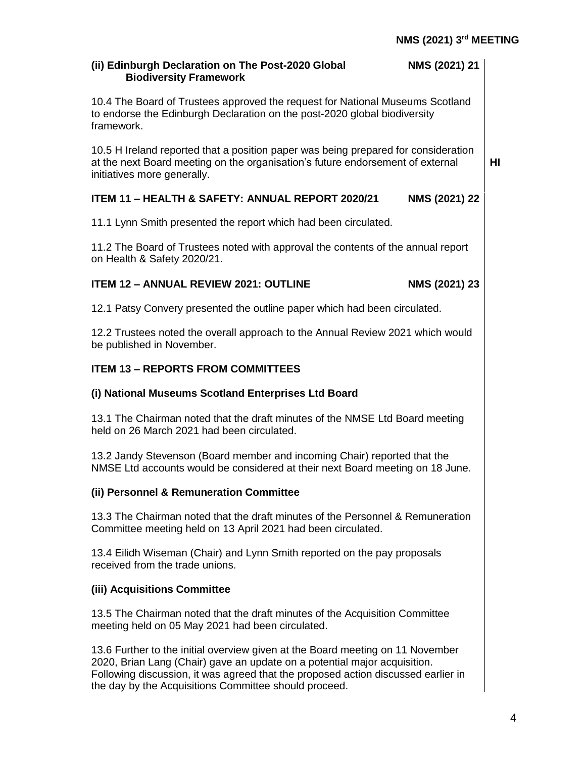**HI**